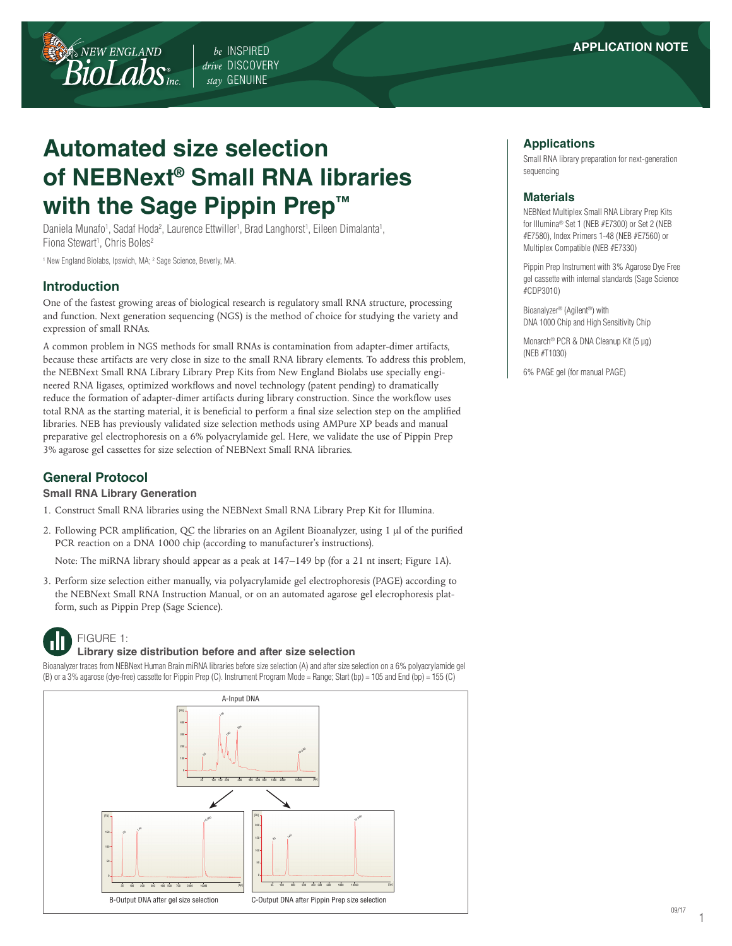*be* INSPIRED *drive* DISCOVERY *stay* GENUINE

# **Automated size selection of NEBNext® Small RNA libraries with the Sage Pippin Prep™**

Daniela Munafo<sup>1</sup>, Sadaf Hoda<sup>2</sup>, Laurence Ettwiller<sup>1</sup>, Brad Langhorst<sup>1</sup>, Eileen Dimalanta<sup>1</sup>, Fiona Stewart<sup>1</sup>, Chris Boles<sup>2</sup>

<sup>1</sup> New England Biolabs, Ipswich, MA; <sup>2</sup> Sage Science, Beverly, MA.

NEW ENGLAND

 $\textit{Biolabs}_{\scriptscriptstyle\rm mc}$ 

## **Introduction**

One of the fastest growing areas of biological research is regulatory small RNA structure, processing and function. Next generation sequencing (NGS) is the method of choice for studying the variety and expression of small RNAs.

A common problem in NGS methods for small RNAs is contamination from adapter-dimer artifacts, because these artifacts are very close in size to the small RNA library elements. To address this problem, the NEBNext Small RNA Library Library Prep Kits from New England Biolabs use specially engineered RNA ligases, optimized workflows and novel technology (patent pending) to dramatically reduce the formation of adapter-dimer artifacts during library construction. Since the workflow uses total RNA as the starting material, it is beneficial to perform a final size selection step on the amplified libraries. NEB has previously validated size selection methods using AMPure XP beads and manual preparative gel electrophoresis on a 6% polyacrylamide gel. Here, we validate the use of Pippin Prep 3% agarose gel cassettes for size selection of NEBNext Small RNA libraries.

# **General Protocol**

#### **Small RNA Library Generation**

- 1. Construct Small RNA libraries using the NEBNext Small RNA Library Prep Kit for Illumina.
- 2. Following PCR amplification, QC the libraries on an Agilent Bioanalyzer, using 1 μl of the purified PCR reaction on a DNA 1000 chip (according to manufacturer's instructions).

Note: The miRNA library should appear as a peak at 147–149 bp (for a 21 nt insert; Figure 1A).

3. Perform size selection either manually, via polyacrylamide gel electrophoresis (PAGE) according to the NEBNext Small RNA Instruction Manual, or on an automated agarose gel elecrophoresis platform, such as Pippin Prep (Sage Science).



FIGURE 1:

#### **Library size distribution before and after size selection**

Bioanalyzer traces from NEBNext Human Brain miRNA libraries before size selection (A) and after size selection on a 6% polyacrylamide gel (B) or a 3% agarose (dye-free) cassette for Pippin Prep (C). Instrument Program Mode = Range; Start (bp) = 105 and End (bp) = 155 (C)



#### **Applications**

Small RNA library preparation for next-generation sequencing

#### **Materials**

NEBNext Multiplex Small RNA Library Prep Kits for Illumina® Set 1 (NEB #E7300) or Set 2 (NEB #E7580), Index Primers 1-48 (NEB #E7560) or Multiplex Compatible (NEB #E7330)

Pippin Prep Instrument with 3% Agarose Dye Free gel cassette with internal standards (Sage Science #CDP3010)

Bioanalyzer® (Agilent®) with DNA 1000 Chip and High Sensitivity Chip

Monarch® PCR & DNA Cleanup Kit (5 µg) (NEB #T1030)

6% PAGE gel (for manual PAGE)

1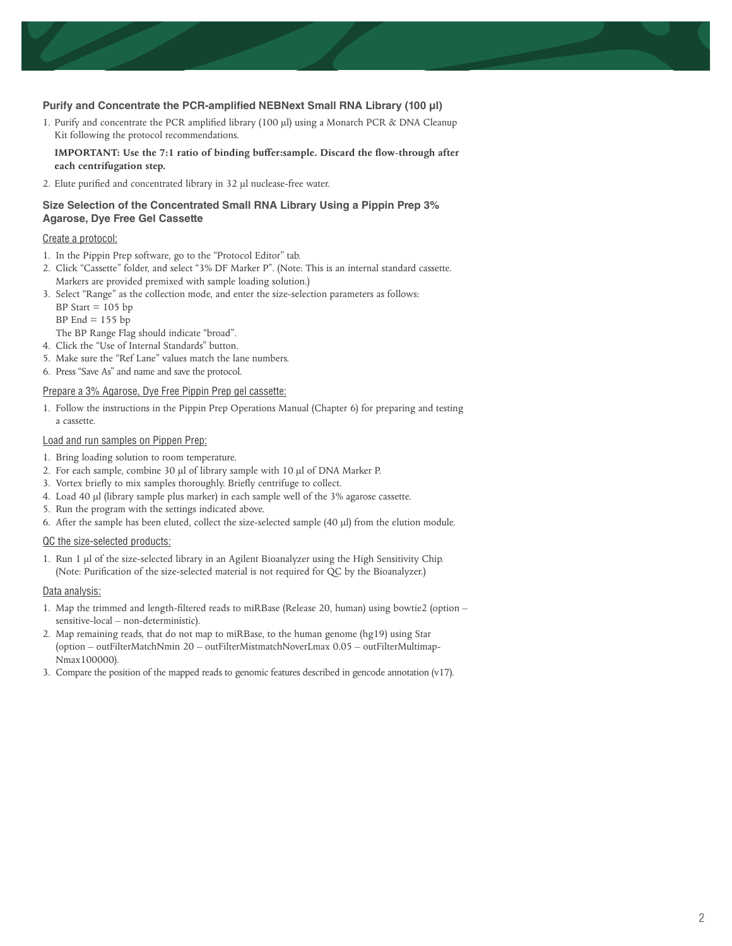#### **Purify and Concentrate the PCR-amplified NEBNext Small RNA Library (100 µl)**

1. Purify and concentrate the PCR amplified library (100 µl) using a Monarch PCR & DNA Cleanup Kit following the protocol recommendations.

#### **IMPORTANT: Use the 7:1 ratio of binding buffer:sample. Discard the flow-through after each centrifugation step.**

2. Elute purified and concentrated library in 32 µl nuclease-free water.

#### **Size Selection of the Concentrated Small RNA Library Using a Pippin Prep 3% Agarose, Dye Free Gel Cassette**

#### Create a protocol:

- 1. In the Pippin Prep software, go to the "Protocol Editor" tab.
- 2. Click "Cassette" folder, and select "3% DF Marker P". (Note: This is an internal standard cassette. Markers are provided premixed with sample loading solution.)
- 3. Select "Range" as the collection mode, and enter the size-selection parameters as follows: BP Start  $= 105$  bp
	- BP End  $= 155$  bp
- The BP Range Flag should indicate "broad".
- 4. Click the "Use of Internal Standards" button.
- 5. Make sure the "Ref Lane" values match the lane numbers.
- 6. Press "Save As" and name and save the protocol.

#### Prepare a 3% Agarose, Dye Free Pippin Prep gel cassette:

1. Follow the instructions in the Pippin Prep Operations Manual (Chapter 6) for preparing and testing a cassette.

#### Load and run samples on Pippen Prep:

- 1. Bring loading solution to room temperature.
- 2. For each sample, combine 30 μl of library sample with 10 μl of DNA Marker P.
- 3. Vortex briefly to mix samples thoroughly. Briefly centrifuge to collect.
- 4. Load 40 μl (library sample plus marker) in each sample well of the 3% agarose cassette.
- 5. Run the program with the settings indicated above.
- 6. After the sample has been eluted, collect the size-selected sample (40 μl) from the elution module.

#### QC the size-selected products:

1. Run 1 μl of the size-selected library in an Agilent Bioanalyzer using the High Sensitivity Chip. (Note: Purification of the size-selected material is not required for QC by the Bioanalyzer.)

#### Data analysis:

- 1. Map the trimmed and length-filtered reads to miRBase (Release 20, human) using bowtie2 (option sensitive-local – non-deterministic).
- 2. Map remaining reads, that do not map to miRBase, to the human genome (hg19) using Star (option – outFilterMatchNmin 20 – outFilterMistmatchNoverLmax 0.05 – outFilterMultimap-Nmax100000).
- 3. Compare the position of the mapped reads to genomic features described in gencode annotation (v17).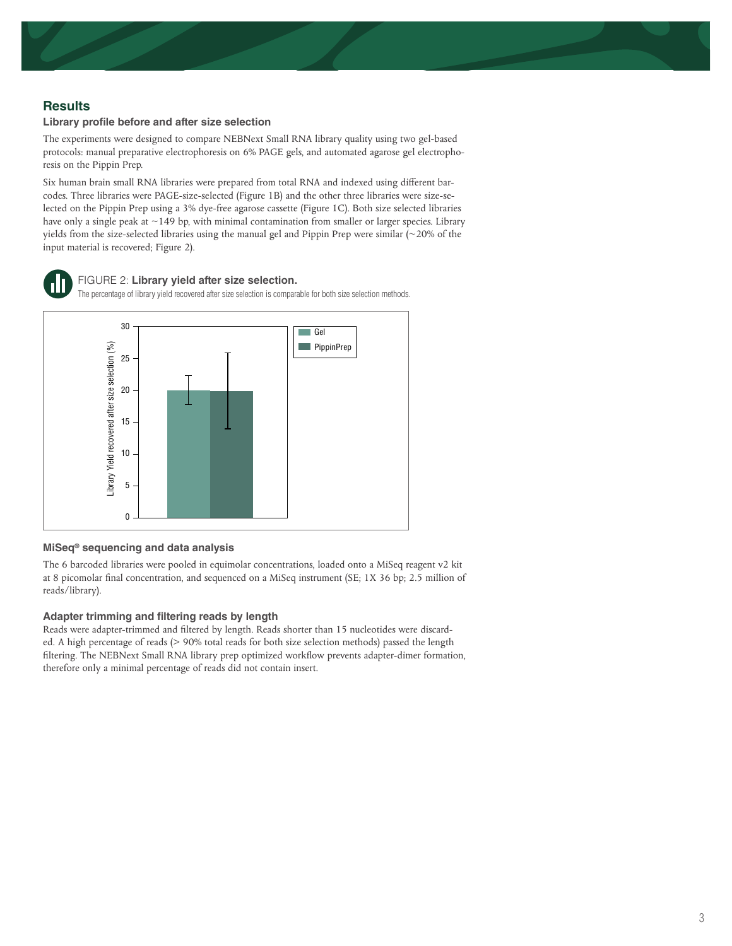# **Results**

#### **Library profile before and after size selection**

The experiments were designed to compare NEBNext Small RNA library quality using two gel-based protocols: manual preparative electrophoresis on 6% PAGE gels, and automated agarose gel electrophoresis on the Pippin Prep.

Six human brain small RNA libraries were prepared from total RNA and indexed using different barcodes. Three libraries were PAGE-size-selected (Figure 1B) and the other three libraries were size-selected on the Pippin Prep using a 3% dye-free agarose cassette (Figure 1C). Both size selected libraries have only a single peak at ~149 bp, with minimal contamination from smaller or larger species. Library yields from the size-selected libraries using the manual gel and Pippin Prep were similar (~20% of the input material is recovered; Figure 2).



# FIGURE 2: **Library yield after size selection.**

The percentage of library yield recovered after size selection is comparable for both size selection methods.



#### **MiSeq® sequencing and data analysis**

The 6 barcoded libraries were pooled in equimolar concentrations, loaded onto a MiSeq reagent v2 kit at 8 picomolar final concentration, and sequenced on a MiSeq instrument (SE; 1X 36 bp; 2.5 million of reads/library).

#### **Adapter trimming and filtering reads by length**

Reads were adapter-trimmed and filtered by length. Reads shorter than 15 nucleotides were discarded. A high percentage of reads (> 90% total reads for both size selection methods) passed the length filtering. The NEBNext Small RNA library prep optimized workflow prevents adapter-dimer formation, therefore only a minimal percentage of reads did not contain insert.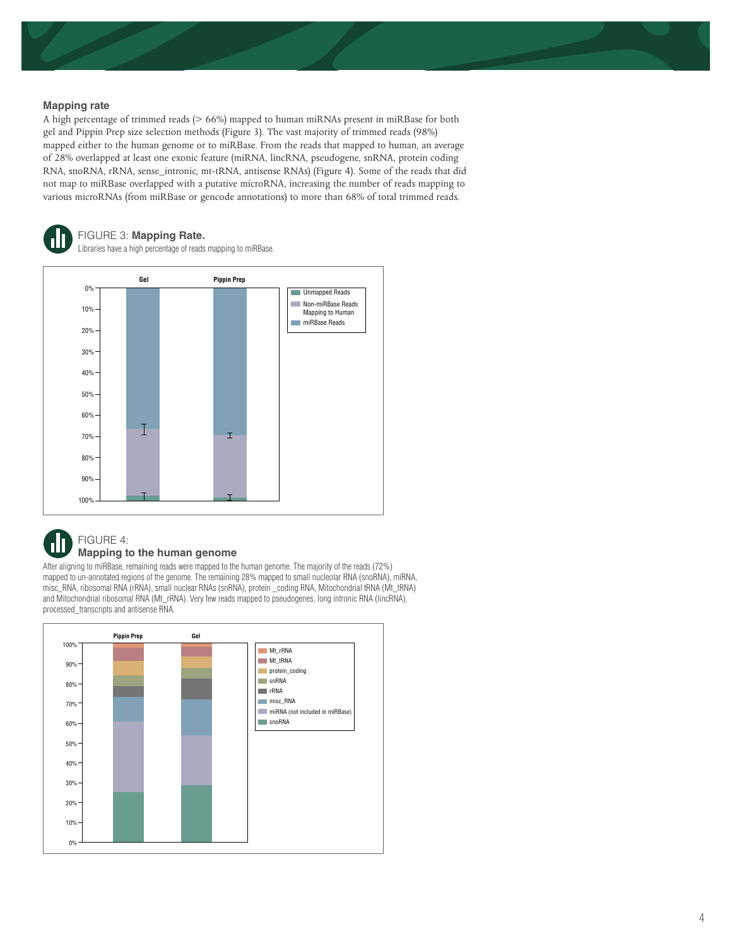#### **Mapping rate**

A high percentage of trimmed reads (> 66%) mapped to human miRNAs present in miRBase for both gel and Pippin Prep size selection methods (Figure 3). The vast majority of trimmed reads (98%) mapped either to the human genome or to miRBase. From the reads that mapped to human, an average of 28% overlapped at least one exonic feature (miRNA, lincRNA, pseudogene, snRNA, protein coding RNA, snoRNA, rRNA, sense\_intronic, mt-tRNA, antisense RNAs) (Figure 4). Some of the reads that did not map to miRBase overlapped with a putative microRNA, increasing the number of reads mapping to various microRNAs (from miRBase or gencode annotations) to more than 68% of total trimmed reads.

# FIGURE 3: **Mapping Rate.**

Libraries have a high percentage of reads mapping to miRBase.





## **Mapping to the human genome**

After aligning to miRBase, remaining reads were mapped to the human genome. The majority of the reads (72%) mapped to un-annotated regions of the genome. The remaining 28% mapped to small nucleolar RNA (snoRNA), miRNA, misc\_RNA, ribosomal RNA (rRNA), small nuclear RNAs (snRNA), protein \_coding RNA, Mitochondrial tRNA (Mt\_tRNA) and Mitochondrial ribosomal RNA (Mt\_rRNA). Very few reads mapped to pseudogenes, long intronic RNA (lincRNA), processed\_transcripts and antisense RNA.